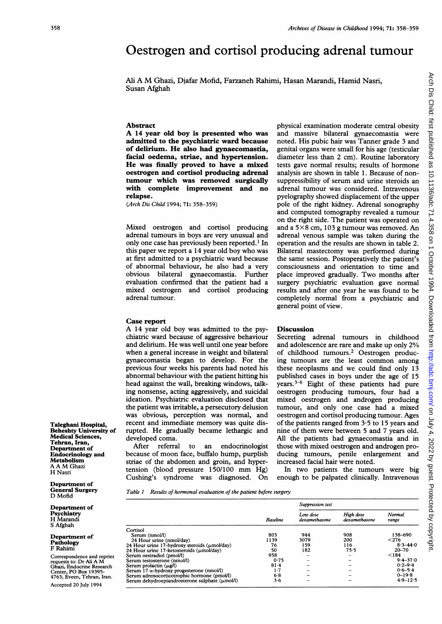## Oestrogen and cortisol producing adrenal tumour

Ali A M Ghazi, Djafar Mofid, Farzaneh Rahimi, Hasan Marandi, Hamid Nasri, Susan Afghah

## Abstract

A <sup>14</sup> year old boy is presented who was admitted to the psychiatric ward because of delirium. He also had gynaecomastia, facial oedema, striae, and hypertension. He was finally proved to have a mixed oestrogen and cortisol producing adrenal tumour which was removed surgically with complete improvement and no relapse.

(Arch Dis Child 1994; 71: 358-359)

Mixed oestrogen and cortisol producing adrenal tumours in boys are very unusual and only one case has previously been reported.<sup>1</sup> In this paper we report a 14 year old boy who was at first admitted to a psychiatric ward because of abnormal behaviour, he also had a very obvious bilateral gynaecomastia. Further evaluation confirmed that the patient had a mixed oestrogen and cortisol producing adrenal tumour.

## Case report

A <sup>14</sup> year old boy was admitted to the psychiatric ward because of aggressive behaviour and delirium. He was well until one year before when a general increase in weight and bilateral gynaecomastia began to develop. For the previous four weeks his parents had noted his abnormal behaviour with the patient hitting his head against the wall, breaking windows, talking nonsense, acting aggressively, and suicidal ideation. Psychiatric evaluation disclosed that the patient was irritable, a persecutory delusion was obvious, perception was normal, and recent and immediate memory was quite disrupted. He gradually became lethargic and developed coma.

After referral to an endocrinologist because of moon face, buffalo hump, purplish striae of the abdomen and groin, and hypertension (blood pressure 150/100 mm Hg) Cushing's syndrome was diagnosed. On physical examination moderate central obesity and massive bilateral gynaecomastia were noted. His pubic hair was Tanner grade 3 and genital organs were small for his age (testicular diameter less than 2 cm). Routine laboratory tests gave normal results; results of hormone analysis are shown in table 1. Because of nonsuppressibility of serum and urine steroids an adrenal tumour was considered. Intravenous pyelography showed displacement of the upper pole of the right kidney. Adrenal sonography and computed tomography revealed a tumour on the right side. The patient was operated on and a  $5\times 8$  cm, 103 g tumour was removed. An adrenal venous sample was taken during the operation and the results are shown in table 2. Bilateral mastectomy was performed during the same session. Postoperatively the patient's consciousness and orientation to time and place improved gradually. Two months after surgery psychiatric evaluation gave normal results and after one year he was found to be completely normal from a psychiatric and general point of view.

## **Discussion**

Secreting adrenal tumours in childhood and adolescence are rare and make up only 2% of childhood tumours.2 Oestrogen producing tumours are the least common among these neoplasms and we could find only 13 published cases in boys under the age of 15 years.3-6 Eight of these patients had pure oestrogen producing tumours, four had a mixed oestrogen and androgen producing tumour, and only one case had a mixed oestrogen and cortisol producing tumour. Ages of the patients ranged from 3-5 to 15 years and nine of them were between 5 and 7 years old. All the patients had gynaecomastia and in those with mixed oestrogen and androgen producing tumours, penile enlargement and increased facial hair were noted.

In two patients the tumours were big enough to be palpated clinically. Intravenous

Table <sup>1</sup> Results of hormonal evaluation of the patient before surgery

|                                                  | Baseline | Suppression test          |                            |                 |
|--------------------------------------------------|----------|---------------------------|----------------------------|-----------------|
|                                                  |          | Low dose<br>dexamethasone | High dose<br>dexamethasone | Normal<br>range |
| Cortisol                                         |          |                           |                            |                 |
| Serum (nmol/l)                                   | 803      | 944                       | 908                        | 138-690         |
| 24 Hour urine (nmol/day)                         | 1139     | 3079                      | 200                        | < 276           |
| 24 Hour urine 17-hydroxy steroids (umol/day)     | 76       | 159                       | 116                        | $8.3 - 44.0$    |
| 24 Hour urine 17-ketosteroids (umol/day)         | 50       | 182                       | 75.5                       | $20 - 70$       |
| Serum oestradiol (pmol/l)                        | 958      |                           |                            | $\leq$ 184.     |
| Serum testosterone (nmol/l)                      | 0.75     |                           |                            | $9.4 - 37.0$    |
| Serum prolactin (ug/l)                           | 81.4     |                           |                            | $0.2 - 9.4$     |
| Serum 17 $\alpha$ -hydroxy progesterone (nmol/l) | 1.7      |                           |                            | $0.6 - 5.4$     |
| Serum adrenocorticotrophic hormone (pmol/l)      | 6.8      |                           |                            | $0 - 19.8$      |
| Serum dehydroepiandrosterone sulphate (umol/l)   | 3.6      |                           |                            | $4.9 - 12.5$    |

Taleghani Hospital, Beheshty University of Medical Sciences, Tehran, Iran, Department of Endocrinology and Metabolism A A M Ghazi H Nasri

Departnent of General Surgery D Mofid

Department of Psychiatry H Marandi S Afghah

Department of Pathology F Rahimi

Correspondence and reprint requests to: Dr Ali A M Ghazi, Endocrine Research Center, PO Box 19395- 4763, Eveen, Tehran, Iran. Accepted 20 July 1994

1994. Downloaded from http://adc.bmj.com/ on July 4, 2022 by guest. Protected by copyright

Arch Dis Child: first published as 10.1136/adc.71.4.358 on 1 October 1994. Downloaded from <http://adc.bmj.com/> on July 4, 2022 by guest. Protected by copyright.

Arch Dis Child: first published as

10.1136/adc.71.4.

358

on 1 October